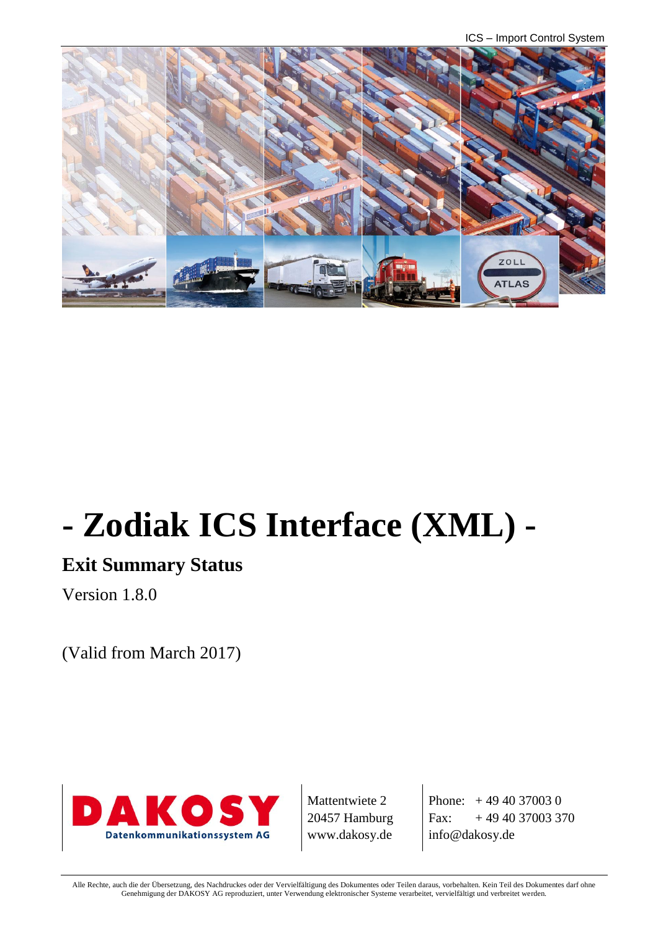ICS – Import Control System



# **- Zodiak ICS Interface (XML) -**

# **Exit Summary Status**

Version 1.8.0

(Valid from March 2017)



Mattentwiete 2 20457 Hamburg www.dakosy.de

Phone:  $+4940370030$ Fax:  $+494037003370$ info@dakosy.de

Alle Rechte, auch die der Übersetzung, des Nachdruckes oder der Vervielfältigung des Dokumentes oder Teilen daraus, vorbehalten. Kein Teil des Dokumentes darf ohne Genehmigung der DAKOSY AG reproduziert, unter Verwendung elektronischer Systeme verarbeitet, vervielfältigt und verbreitet werden.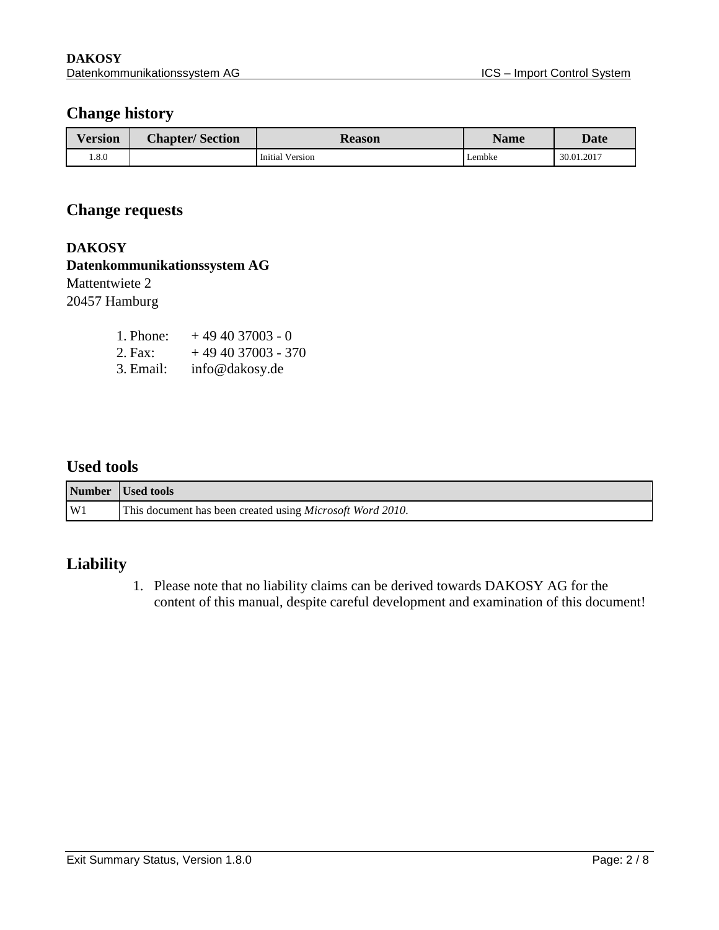### **Change history**

| <b>Version</b> | <b>Chapter/Section</b> | <b>Reason</b>          | <b>Name</b> | <b>Date</b> |
|----------------|------------------------|------------------------|-------------|-------------|
| .8.0           |                        | <b>Initial Version</b> | Lembke      | 30.01.2017  |

## **Change requests**

**DAKOSY Datenkommunikationssystem AG**  Mattentwiete 2 20457 Hamburg

| 1. Phone: | $+494037003 - 0$   |
|-----------|--------------------|
| 2. Fax:   | $+494037003 - 370$ |
| 3. Email: | info@dakosy.de     |

#### **Used tools**

|                | Number Used tools                                                 |
|----------------|-------------------------------------------------------------------|
| W <sub>1</sub> | This document has been created using <i>Microsoft Word 2010</i> . |

## **Liability**

1. Please note that no liability claims can be derived towards DAKOSY AG for the content of this manual, despite careful development and examination of this document!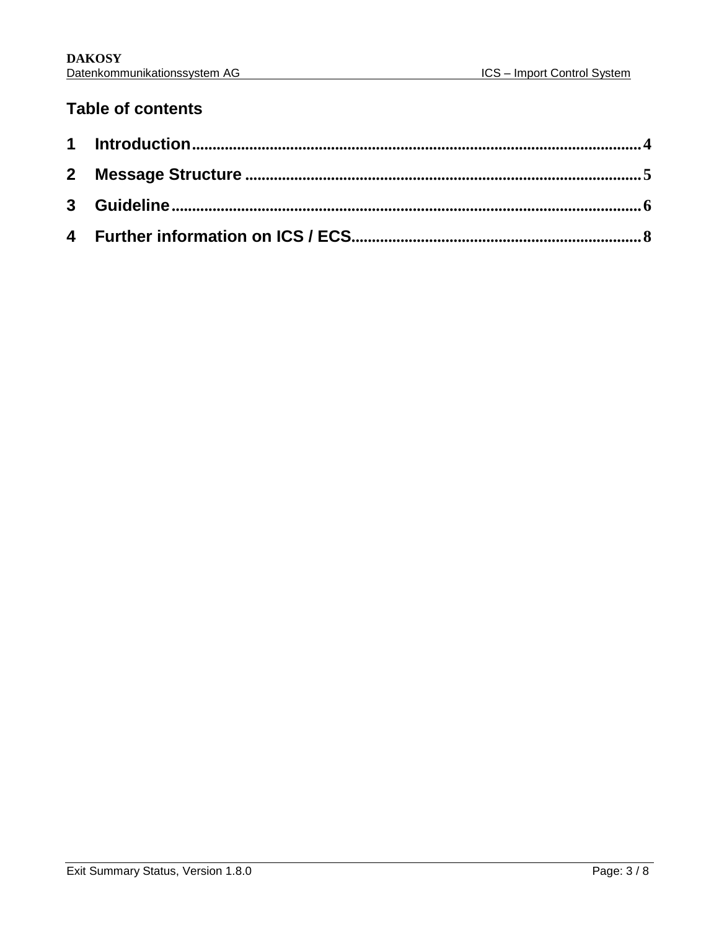## **Table of contents**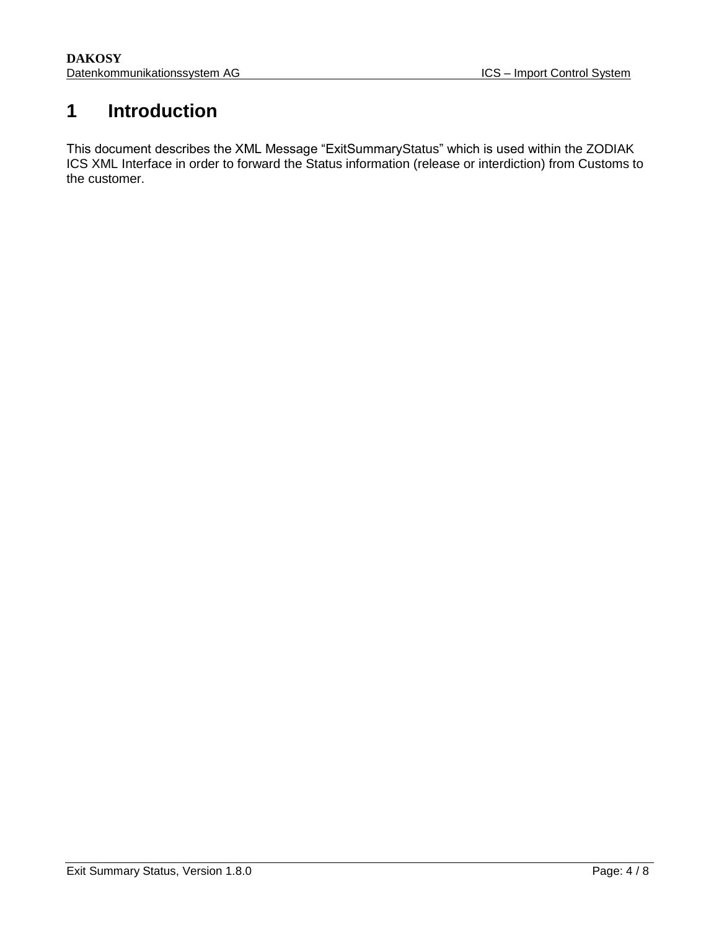## <span id="page-3-0"></span>**1 Introduction**

This document describes the XML Message "ExitSummaryStatus" which is used within the ZODIAK ICS XML Interface in order to forward the Status information (release or interdiction) from Customs to the customer.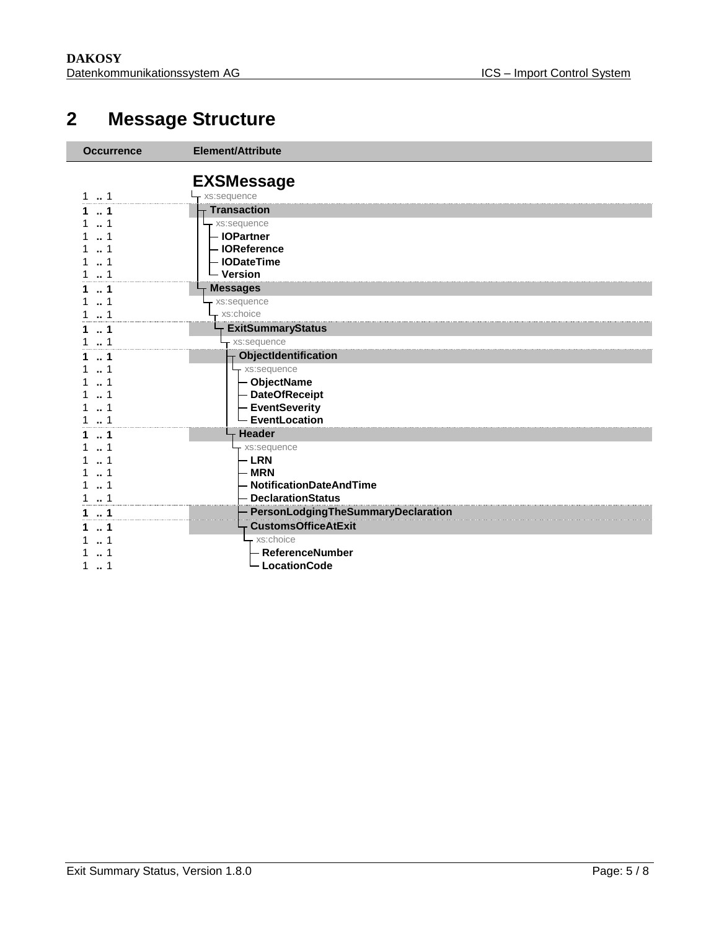# <span id="page-4-0"></span>**Message Structure**

| <b>Occurrence</b> | Element/Attribute                  |
|-------------------|------------------------------------|
|                   | <b>EXSMessage</b>                  |
| 1                 | xs:sequence                        |
| -1                | <b>Transaction</b>                 |
| 1                 | xs:sequence                        |
|                   | - IOPartner                        |
|                   | - IOReference                      |
|                   | - IODateTime                       |
|                   | - Version                          |
| 1                 | <b>Messages</b>                    |
|                   | xs:sequence                        |
|                   | xs:choice                          |
| 1                 | <b>ExitSummaryStatus</b>           |
| 1                 | xs:sequence                        |
| 1                 | ObjectIdentification               |
|                   | xs:sequence                        |
|                   | - ObjectName                       |
|                   | - DateOfReceipt                    |
|                   | - EventSeverity                    |
|                   | <b>EventLocation</b>               |
|                   | <b>Header</b>                      |
|                   | xs:sequence                        |
|                   | <b>LRN</b>                         |
|                   | <b>MRN</b>                         |
|                   | <b>NotificationDateAndTime</b>     |
|                   | <b>DeclarationStatus</b>           |
| -1                | PersonLodgingTheSummaryDeclaration |
| 1                 | <b>CustomsOfficeAtExit</b>         |
|                   | xs:choice                          |
|                   | <b>ReferenceNumber</b>             |
|                   | <b>LocationCode</b>                |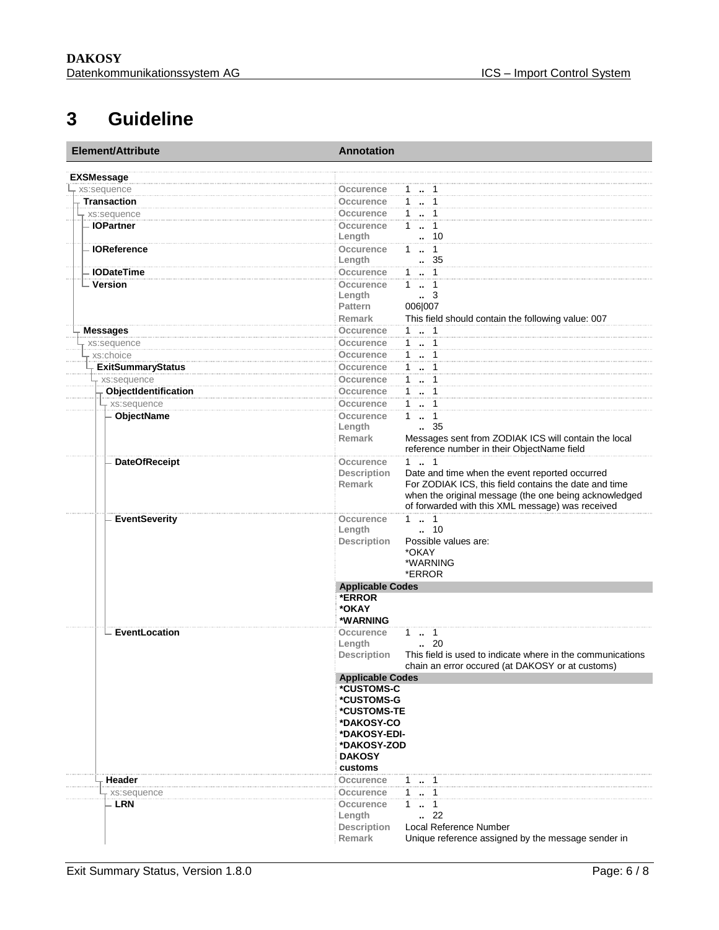# <span id="page-5-0"></span>**3 Guideline**

| Element/Attribute        | <b>Annotation</b>                                                                |  |  |
|--------------------------|----------------------------------------------------------------------------------|--|--|
| <b>EXSMessage</b>        |                                                                                  |  |  |
| xs:sequence              | $1 - 1$<br>Occurence                                                             |  |  |
| <b>Transaction</b>       | $1 - 1$<br><b>Occurence</b>                                                      |  |  |
| xs:sequence              | $1 - 1$<br><b>Occurence</b>                                                      |  |  |
| - IOPartner              | $\ldots$ 1<br>Occurence<br>$\mathbf{1}$                                          |  |  |
|                          | $\cdot$ 10<br>Length                                                             |  |  |
| <b>IOReference</b>       | $1 - 1$<br>Occurence                                                             |  |  |
|                          | Length<br>. 35                                                                   |  |  |
| <b>IODateTime</b>        | $1 - 1$<br>Occurence                                                             |  |  |
| - Version                | $1 \quad 1$<br>Occurence                                                         |  |  |
|                          | Length<br>$\cdot$ 3                                                              |  |  |
|                          | 006 007<br><b>Pattern</b>                                                        |  |  |
|                          | <b>Remark</b><br>This field should contain the following value: 007              |  |  |
|                          | 11<br>Occurence                                                                  |  |  |
| <b>Messages</b>          | $1 - 1$<br>Occurence                                                             |  |  |
| xs:sequence              |                                                                                  |  |  |
| xs:choice                | $1 - 1$<br>Occurence                                                             |  |  |
| <b>ExitSummaryStatus</b> | $1 - 1$<br>Occurence                                                             |  |  |
| xs:sequence              | $1 \cdot 1$<br>Occurence                                                         |  |  |
| ObjectIdentification     | $1 - 1$<br><b>Occurence</b>                                                      |  |  |
| - xs:sequence            | 1  1<br><b>Occurence</b>                                                         |  |  |
| <b>ObjectName</b>        | <b>Occurence</b><br>$1 \t  \t 1$                                                 |  |  |
|                          | $\frac{1}{2}$ 35<br>Length                                                       |  |  |
|                          | Remark<br>Messages sent from ZODIAK ICS will contain the local                   |  |  |
|                          | reference number in their ObjectName field                                       |  |  |
| <b>DateOfReceipt</b>     | $1 - 1$<br>Occurence                                                             |  |  |
|                          | Date and time when the event reported occurred<br><b>Description</b>             |  |  |
|                          | For ZODIAK ICS, this field contains the date and time<br><b>Remark</b>           |  |  |
|                          | when the original message (the one being acknowledged                            |  |  |
|                          | of forwarded with this XML message) was received                                 |  |  |
| <b>EventSeverity</b>     | $1 - 1$<br><b>Occurence</b>                                                      |  |  |
|                          | Length<br>10                                                                     |  |  |
|                          | Possible values are:<br><b>Description</b>                                       |  |  |
|                          | *OKAY                                                                            |  |  |
|                          | *WARNING                                                                         |  |  |
|                          | *ERROR                                                                           |  |  |
|                          | <b>Applicable Codes</b>                                                          |  |  |
|                          | *ERROR                                                                           |  |  |
|                          | *OKAY                                                                            |  |  |
|                          | *WARNING                                                                         |  |  |
| EventLocation            | $1 - 1$<br>Occurence                                                             |  |  |
|                          | $\cdot$ 20<br>Length                                                             |  |  |
|                          | <b>Description</b><br>This field is used to indicate where in the communications |  |  |
|                          | chain an error occured (at DAKOSY or at customs)                                 |  |  |
|                          | <b>Applicable Codes</b>                                                          |  |  |
|                          | *CUSTOMS-C                                                                       |  |  |
|                          | *CUSTOMS-G                                                                       |  |  |
|                          | *CUSTOMS-TE                                                                      |  |  |
|                          | *DAKOSY-CO                                                                       |  |  |
|                          | *DAKOSY-EDI-                                                                     |  |  |
|                          | *DAKOSY-ZOD                                                                      |  |  |
|                          | <b>DAKOSY</b>                                                                    |  |  |
|                          | customs                                                                          |  |  |
| Header                   | <b>Occurence</b><br>$1 \t  1$                                                    |  |  |
| xs:sequence              | $1 - 1$<br>Occurence                                                             |  |  |
| - LRN                    | Occurence<br>$1 \t  1$                                                           |  |  |
|                          | .22<br>Length                                                                    |  |  |
|                          | Local Reference Number<br><b>Description</b>                                     |  |  |
|                          | Remark<br>Unique reference assigned by the message sender in                     |  |  |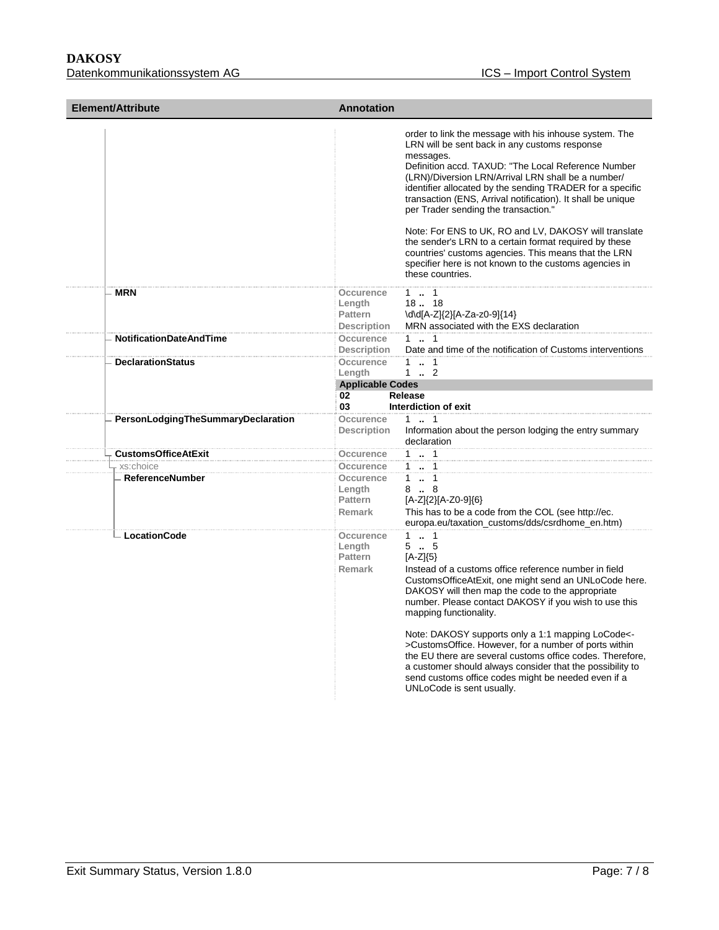| <b>Element/Attribute</b>           | <b>Annotation</b>                                          |                                                                                                                                                                                                                                                                                                                                                                                                                                                                                                                                                                                                                                                                |
|------------------------------------|------------------------------------------------------------|----------------------------------------------------------------------------------------------------------------------------------------------------------------------------------------------------------------------------------------------------------------------------------------------------------------------------------------------------------------------------------------------------------------------------------------------------------------------------------------------------------------------------------------------------------------------------------------------------------------------------------------------------------------|
|                                    |                                                            | order to link the message with his inhouse system. The<br>LRN will be sent back in any customs response<br>messages.<br>Definition accd. TAXUD: "The Local Reference Number<br>(LRN)/Diversion LRN/Arrival LRN shall be a number/<br>identifier allocated by the sending TRADER for a specific<br>transaction (ENS, Arrival notification). It shall be unique<br>per Trader sending the transaction."<br>Note: For ENS to UK, RO and LV, DAKOSY will translate<br>the sender's LRN to a certain format required by these<br>countries' customs agencies. This means that the LRN<br>specifier here is not known to the customs agencies in<br>these countries. |
| <b>MRN</b>                         | Occurence<br>Length<br>Pattern<br><b>Description</b>       | $1 \t  \t 1$<br>18. 18<br>\d\d[A-Z]{2}[A-Za-z0-9]{14}<br>MRN associated with the EXS declaration                                                                                                                                                                                                                                                                                                                                                                                                                                                                                                                                                               |
| <b>NotificationDateAndTime</b>     | <b>Occurence</b><br><b>Description</b>                     | $1 \t  \t 1$<br>Date and time of the notification of Customs interventions                                                                                                                                                                                                                                                                                                                                                                                                                                                                                                                                                                                     |
| <b>DeclarationStatus</b>           | Occurence<br>Length<br><b>Applicable Codes</b><br>02<br>03 | $1 \t  \t 1$<br>$1 \t  \t 2$<br>Release<br>Interdiction of exit                                                                                                                                                                                                                                                                                                                                                                                                                                                                                                                                                                                                |
| PersonLodgingTheSummaryDeclaration | Occurence<br><b>Description</b>                            | $1 \t{1} \t{1}$<br>Information about the person lodging the entry summary<br>declaration                                                                                                                                                                                                                                                                                                                                                                                                                                                                                                                                                                       |
| <b>CustomsOfficeAtExit</b>         | Occurence                                                  | $1 \t . 1$                                                                                                                                                                                                                                                                                                                                                                                                                                                                                                                                                                                                                                                     |
| xs:choice                          | Occurence                                                  | 1  1                                                                                                                                                                                                                                                                                                                                                                                                                                                                                                                                                                                                                                                           |
| <b>ReferenceNumber</b>             | Occurence<br>Length<br>Pattern<br><b>Remark</b>            | 1  1<br>8.8<br>[A-Z]{2}[A-Z0-9]{6}<br>This has to be a code from the COL (see http://ec.<br>europa.eu/taxation_customs/dds/csrdhome_en.htm)                                                                                                                                                                                                                                                                                                                                                                                                                                                                                                                    |
| <b>LocationCode</b>                | Occurence<br>Length<br>Pattern<br><b>Remark</b>            | $1 \t  \t 1$<br>55<br>$[A-Z]\{5\}$<br>Instead of a customs office reference number in field<br>CustomsOfficeAtExit, one might send an UNLoCode here.<br>DAKOSY will then map the code to the appropriate<br>number. Please contact DAKOSY if you wish to use this<br>mapping functionality.<br>Note: DAKOSY supports only a 1:1 mapping LoCode<-<br>>CustomsOffice. However, for a number of ports within<br>the EU there are several customs office codes. Therefore,<br>a customer should always consider that the possibility to<br>send customs office codes might be needed even if a<br>UNLoCode is sent usually.                                        |